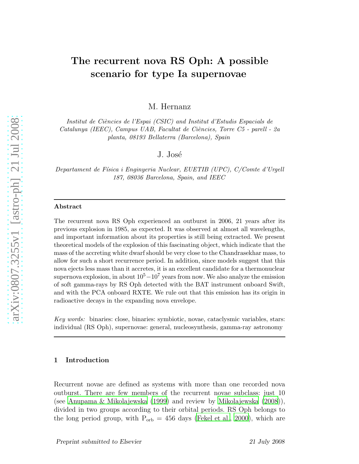# The recurrent nova RS Oph: A possible scenario for type Ia supernovae

M. Hernanz

Institut de Ciències de l'Espai (CSIC) and Institut d'Estudis Espacials de  $Catalunya$  (IEEC), Campus UAB, Facultat de Ciències, Torre C5 - parell - 2a planta, 08193 Bellaterra (Barcelona), Spain

# J. José

Departament de Física i Enginyeria Nuclear, EUETIB (UPC), C/Comte d'Urgell 187, 08036 Barcelona, Spain, and IEEC

#### Abstract

The recurrent nova RS Oph experienced an outburst in 2006, 21 years after its previous explosion in 1985, as expected. It was observed at almost all wavelengths, and important information about its properties is still being extracted. We present theoretical models of the explosion of this fascinating object, which indicate that the mass of the accreting white dwarf should be very close to the Chandrasekhar mass, to allow for such a short recurrence period. In addition, since models suggest that this nova ejects less mass than it accretes, it is an excellent candidate for a thermonuclear supernova explosion, in about  $10^5-10^7$  years from now. We also analyze the emission of soft gamma-rays by RS Oph detected with the BAT instrument onboard Swift, and with the PCA onboard RXTE. We rule out that this emission has its origin in radioactive decays in the expanding nova envelope.

Key words: binaries: close, binaries: symbiotic, novae, cataclysmic variables, stars: individual (RS Oph), supernovae: general, nucleosynthesis, gamma-ray astronomy

#### 1 Introduction

Recurrent novae are defined as systems with more than one recorded nova outburst. There are few members of the recurrent novae subclass: just 10 (see [Anupama & Mikolajewska \(1999](#page-9-0)) and review by [Mikolajewska \(2008](#page-9-1))), divided in two groups according to their orbital periods. RS Oph belongs to the long period group, with  $P_{orb} = 456$  days [\(Fekel et al.](#page-9-2), [2000\)](#page-9-2), which are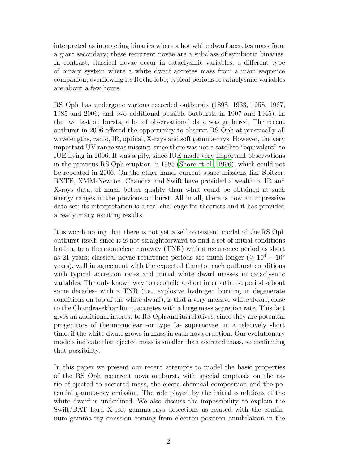interpreted as interacting binaries where a hot white dwarf accretes mass from a giant secondary; these recurrent novae are a subclass of symbiotic binaries. In contrast, classical novae occur in cataclysmic variables, a different type of binary system where a white dwarf accretes mass from a main sequence companion, overflowing its Roche lobe; typical periods of cataclysmic variables are about a few hours.

RS Oph has undergone various recorded outbursts (1898, 1933, 1958, 1967, 1985 and 2006, and two additional possible outbursts in 1907 and 1945). In the two last outbursts, a lot of observational data was gathered. The recent outburst in 2006 offered the opportunity to observe RS Oph at practically all wavelengths, radio, IR, optical, X-rays and soft gamma-rays. However, the very important UV range was missing, since there was not a satellite "equivalent" to IUE flying in 2006. It was a pity, since IUE made very important observations in the previous RS Oph eruption in 1985 [\(Shore et al.](#page-9-3), [1996\)](#page-9-3), which could not be repeated in 2006. On the other hand, current space missions like Spitzer, RXTE, XMM-Newton, Chandra and Swift have provided a wealth of IR and X-rays data, of much better quality than what could be obtained at such energy ranges in the previous outburst. All in all, there is now an impressive data set; its interpretation is a real challenge for theorists and it has provided already many exciting results.

It is worth noting that there is not yet a self consistent model of the RS Oph outburst itself, since it is not straightforward to find a set of initial conditions leading to a thermonuclear runaway (TNR) with a recurrence period as short as 21 years; classical novae recurrence periods are much longer ( $\geq 10^4 - 10^5$ ) years), well in agreement with the expected time to reach outburst conditions with typical accretion rates and initial white dwarf masses in cataclysmic variables. The only known way to reconcile a short interoutburst period -about some decades- with a TNR (i.e., explosive hydrogen burning in degenerate conditions on top of the white dwarf), is that a very massive white dwarf, close to the Chandrasekhar limit, accretes with a large mass accretion rate. This fact gives an additional interest to RS Oph and its relatives, since they are potential progenitors of thermonuclear -or type Ia- supernovae, in a relatively short time, if the white dwarf grows in mass in each nova eruption. Our evolutionary models indicate that ejected mass is smaller than accreted mass, so confirming that possibility.

In this paper we present our recent attempts to model the basic properties of the RS Oph recurrent nova outburst, with special emphasis on the ratio of ejected to accreted mass, the ejecta chemical composition and the potential gamma-ray emission. The role played by the initial conditions of the white dwarf is underlined. We also discuss the impossibility to explain the Swift/BAT hard X-soft gamma-rays detections as related with the continuum gamma-ray emission coming from electron-positron annihilation in the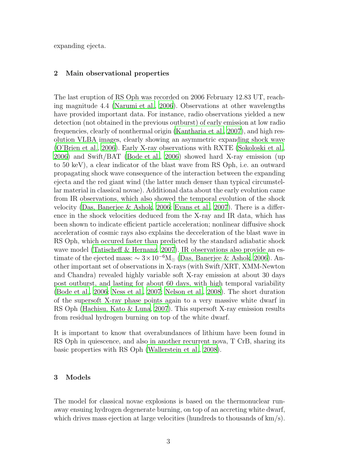expanding ejecta.

## 2 Main observational properties

The last eruption of RS Oph was recorded on 2006 February 12.83 UT, reaching magnitude 4.4 [\(Narumi et al., 2006](#page-9-4)). Observations at other wavelengths have provided important data. For instance, radio observations yielded a new detection (not obtained in the previous outburst) of early emission at low radio frequencies, clearly of nonthermal origin [\(Kantharia et al., 2007](#page-9-5)), and high resolution VLBA images, clearly showing an asymmetric expanding shock wave [\(O'Brien et al., 2006\)](#page-9-6). Early X-ray observations with RXTE [\(Sokoloski et al.](#page-9-7), [2006](#page-9-7)) and Swift/BAT [\(Bode et al., 2006\)](#page-9-8) showed hard X-ray emission (up to 50 keV), a clear indicator of the blast wave from RS Oph, i.e. an outward propagating shock wave consequence of the interaction between the expanding ejecta and the red giant wind (the latter much denser than typical circumstellar material in classical novae). Additional data about the early evolution came from IR observations, which also showed the temporal evolution of the shock velocity [\(Das, Banerjee & Ashok, 2006](#page-9-9); [Evans et al.](#page-9-10), [2007\)](#page-9-10). There is a difference in the shock velocities deduced from the X-ray and IR data, which has been shown to indicate efficient particle acceleration; nonlinear diffusive shock acceleration of cosmic rays also explains the decceleration of the blast wave in RS Oph, which occured faster than predicted by the standard adiabatic shock wave model [\(Tatischeff & Hernanz, 2007](#page-9-11)). IR observations also provide an estimate of the ejected mass:  $\sim 3 \times 10^{-6} M_{\odot}$  [\(Das, Banerjee & Ashok, 2006\)](#page-9-9). Another important set of observations in X-rays (with Swift/XRT, XMM-Newton and Chandra) revealed highly variable soft X-ray emission at about 30 days post outburst, and lasting for about 60 days, with high temporal variability [\(Bode et al., 2006](#page-9-8); [Ness et al., 2007;](#page-9-12) [Nelson et al.](#page-9-13), [2008\)](#page-9-13). The short duration of the supersoft X-ray phase points again to a very massive white dwarf in RS Oph [\(Hachisu, Kato & Luna, 2007\)](#page-9-14). This supersoft X-ray emission results from residual hydrogen burning on top of the white dwarf.

It is important to know that overabundances of lithium have been found in RS Oph in quiescence, and also in another recurrent nova, T CrB, sharing its basic properties with RS Oph [\(Wallerstein et al., 2008](#page-9-15)).

### 3 Models

The model for classical novae explosions is based on the thermonuclear runaway ensuing hydrogen degenerate burning, on top of an accreting white dwarf, which drives mass ejection at large velocities (hundreds to thousands of  $km/s$ ).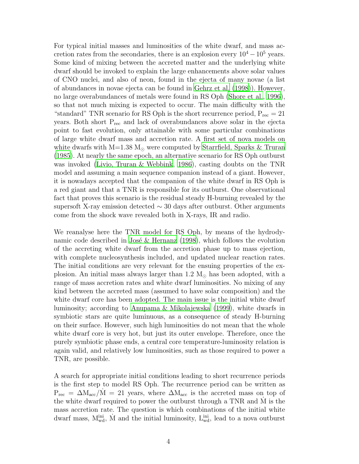For typical initial masses and luminosities of the white dwarf, and mass accretion rates from the secondaries, there is an explosion every  $10^4 - 10^5$  years. Some kind of mixing between the accreted matter and the underlying white dwarf should be invoked to explain the large enhancements above solar values of CNO nuclei, and also of neon, found in the ejecta of many novae (a list of abundances in novae ejecta can be found in [Gehrz et al. \(1998\)](#page-9-16)). However, no large overabundances of metals were found in RS Oph [\(Shore](#page-9-3) et al., [1996\)](#page-9-3), so that not much mixing is expected to occur. The main difficulty with the "standard" TNR scenario for RS Oph is the short recurrence period,  $P_{rec} = 21$ years. Both short  $P_{\text{rec}}$  and lack of overabundances above solar in the ejecta point to fast evolution, only attainable with some particular combinations of large white dwarf mass and accretion rate. A first set of nova models on white dwarfs with M=1.38 M<sub> $\odot$ </sub> were computed by [Starrfield, Sparks & Truran](#page-9-17) [\(1985\)](#page-9-17). At nearly the same epoch, an alternative scenario for RS Oph outburst was invoked [\(Livio, Truran & Webbink](#page-9-18), [1986](#page-9-18)), casting doubts on the TNR model and assuming a main sequence companion instead of a giant. However, it is nowadays accepted that the companion of the white dwarf in RS Oph is a red giant and that a TNR is responsible for its outburst. One observational fact that proves this scenario is the residual steady H-burning revealed by the supersoft X-ray emission detected  $\sim$  30 days after outburst. Other arguments come from the shock wave revealed both in X-rays, IR and radio.

We reanalyse here the TNR model for RS Oph, by means of the hydrodynamic code described in José & Hernanz (1998), which follows the evolution of the accreting white dwarf from the accretion phase up to mass ejection, with complete nucleosynthesis included, and updated nuclear reaction rates. The initial conditions are very relevant for the ensuing properties of the explosion. An initial mass always larger than 1.2  $M_{\odot}$  has been adopted, with a range of mass accretion rates and white dwarf luminosities. No mixing of any kind between the accreted mass (assumed to have solar composition) and the white dwarf core has been adopted. The main issue is the initial white dwarf luminosity; according to [Anupama & Mikolajewska \(1999\)](#page-9-0), white dwarfs in symbiotic stars are quite luminuous, as a consequence of steady H-burning on their surface. However, such high luminosities do not mean that the whole white dwarf core is very hot, but just its outer envelope. Therefore, once the purely symbiotic phase ends, a central core temperature-luminosity relation is again valid, and relatively low luminosities, such as those required to power a TNR, are possible.

A search for appropriate initial conditions leading to short recurrence periods is the first step to model RS Oph. The recurrence period can be written as  $P_{\text{rec}} = \Delta M_{\text{acc}} / \dot{M} = 21$  years, where  $\Delta M_{\text{acc}}$  is the accreted mass on top of the white dwarf required to power the outburst through a TNR and M is the mass accretion rate. The question is which combinations of the initial white dwarf mass,  $M_{wd}^{ini}$ ,  $\dot{M}$  and the initial luminosity,  $L_{wd}^{ini}$ , lead to a nova outburst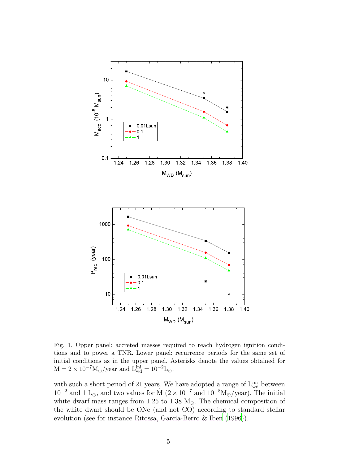

Fig. 1. Upper panel: accreted masses required to reach hydrogen ignition conditions and to power a TNR. Lower panel: recurrence periods for the same set of initial conditions as in the upper panel. Asterisks denote the values obtained for  $\dot{M} = 2 \times 10^{-7} M_{\odot} / \text{year}$  and  $L_{wd}^{ini} = 10^{-2} L_{\odot}$ .

with such a short period of 21 years. We have adopted a range of  $L_{wd}^{ini}$  between  $10^{-2}$  and 1 L<sub>⊙</sub>, and two values for M  $(2 \times 10^{-7}$  and  $10^{-8} M_{\odot}/year)$ . The initial white dwarf mass ranges from 1.25 to 1.38  $M_{\odot}$ . The chemical composition of the white dwarf should be ONe (and not CO) according to standard stellar evolution (see for instance Ritossa, García-Berro & Iben  $(1996)$ ).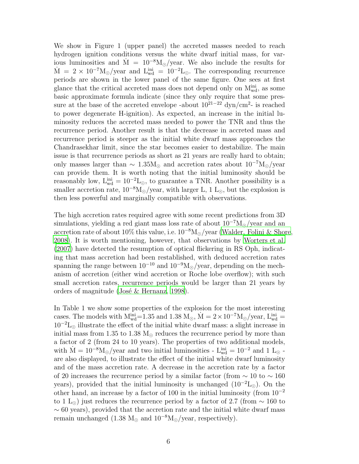We show in Figure 1 (upper panel) the accreted masses needed to reach hydrogen ignition conditions versus the white dwarf initial mass, for various luminosities and M =  $10^{-8}M_{\odot}/year$ . We also include the results for  $\dot{M} = 2 \times 10^{-7} M_{\odot}/year$  and  $L_{wd}^{ini} = 10^{-2} L_{\odot}$ . The corresponding recurrence periods are shown in the lower panel of the same figure. One sees at first glance that the critical accreted mass does not depend only on  $M_{wd}^{ini}$ , as some basic approximate formula indicate (since they only require that some pressure at the base of the accreted envelope -about  $10^{21-22}$  dyn/cm<sup>2</sup>- is reached to power degenerate H-ignition). As expected, an increase in the initial luminosity reduces the accreted mass needed to power the TNR and thus the recurrence period. Another result is that the decrease in accreted mass and recurrence period is steeper as the initial white dwarf mass approaches the Chandrasekhar limit, since the star becomes easier to destabilize. The main issue is that recurrence periods as short as 21 years are really hard to obtain; only masses larger than  $\sim 1.35 M_{\odot}$  and accretion rates about  $10^{-7} M_{\odot}/year$ can provide them. It is worth noting that the initial luminosity should be reasonably low,  $L_{wd}^{ini} = 10^{-2}L_{\odot}$ , to guarantee a TNR. Another possibility is a smaller accretion rate,  $10^{-8}M_{\odot}/year$ , with larger L, 1 L<sub>☉</sub>, but the explosion is then less powerful and marginally compatible with observations.

The high accretion rates required agree with some recent predictions from 3D simulations, yielding a red giant mass loss rate of about  $10^{-7}M_{\odot}/year$  and an accretion rate of about 10% this value, i.e.  $10^{-8} M_{\odot}/year$  [\(Walder, Folini & Shore](#page-9-21), [2008](#page-9-21)). It is worth mentioning, however, that observations by [Worters et al.](#page-9-22) [\(2007\)](#page-9-22) have detected the resumption of optical flickering in RS Oph, indicating that mass accretion had been restablished, with deduced accretion rates spanning the range between  $10^{-10}$  and  $10^{-9}M_{\odot}/year$ , depending on the mechanism of accretion (either wind accretion or Roche lobe overflow); with such small accretion rates, recurrence periods would be larger than 21 years by orders of magnitude (José & Hernanz, [1998\)](#page-9-19).

In Table 1 we show some properties of the explosion for the most interesting cases. The models with  $M_{wd}^{ini}$ =1.35 and 1.38  $M_{\odot}$ ,  $\dot{M} = 2 \times 10^{-7} M_{\odot}/year$ ,  $L_{wd}^{ini}$  =  $10^{-2}L_{\odot}$  illustrate the effect of the initial white dwarf mass: a slight increase in initial mass from 1.35 to 1.38  $M_{\odot}$  reduces the recurrence period by more than a factor of 2 (from 24 to 10 years). The properties of two additional models, with  $\dot{M} = 10^{-8} M_{\odot}/year$  and two initial luminosities -  $L_{wd}^{ini} = 10^{-2}$  and 1  $L_{\odot}$  are also displayed, to illustrate the effect of the initial white dwarf luminosity and of the mass accretion rate. A decrease in the accretion rate by a factor of 20 increases the recurrence period by a similar factor (from  $\sim 10$  to  $\sim 160$ ) years), provided that the initial luminosity is unchanged  $(10^{-2}L_{\odot})$ . On the other hand, an increase by a factor of 100 in the initial luminosity (from 10<sup>−</sup><sup>2</sup> to 1 L<sub>⊙</sub>) just reduces the recurrence period by a factor of 2.7 (from  $\sim$  160 to  $\sim$  60 years), provided that the accretion rate and the initial white dwarf mass remain unchanged (1.38 M<sub>☉</sub> and  $10^{-8}M_{\odot}/year$ , respectively).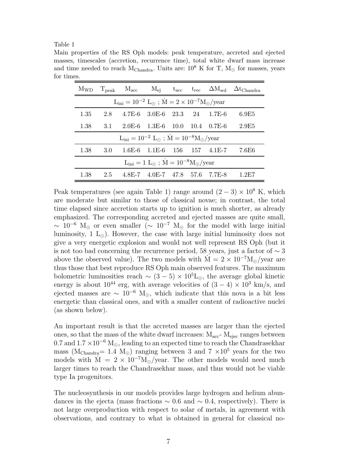#### Table 1

Main properties of the RS Oph models: peak temperature, accreted and ejected masses, timescales (accretion, recurrence time), total white dwarf mass increase and time needed to reach M<sub>Chandra</sub>. Units are:  $10^8$  K for T, M<sub> $\odot$ </sub> for masses, years for times.

|                                                                                    | $M_{WD}$ $T_{peak}$ $M_{acc}$ |  |                                          |  |  |  | $M_{\rm ej}$ $t_{\rm acc}$ $t_{\rm rec}$ $\Delta M_{\rm wd}$ $\Delta t_{\rm Chandra}$ |
|------------------------------------------------------------------------------------|-------------------------------|--|------------------------------------------|--|--|--|---------------------------------------------------------------------------------------|
| $L_{\text{ini}} = 10^{-2} L_{\odot}$ ; $\dot{M} = 2 \times 10^{-7} M_{\odot}/year$ |                               |  |                                          |  |  |  |                                                                                       |
| 1.35                                                                               | 2.8                           |  | $4.7E-6$ $3.0E-6$ $23.3$ $24$ $1.7E-6$   |  |  |  | 6.9E5                                                                                 |
| 1.38                                                                               | 3.1                           |  | $2.0E-6$ $1.3E-6$ $10.0$ $10.4$ $0.7E-6$ |  |  |  | 2.9E5                                                                                 |
| $L_{\text{ini}} = 10^{-2} L_{\odot}$ ; $\dot{M} = 10^{-8} M_{\odot}/year$          |                               |  |                                          |  |  |  |                                                                                       |
| 1.38                                                                               | 3.0                           |  | $1.6E-6$ $1.1E-6$ $156$ $157$ $4.1E-7$   |  |  |  | 7.6E6                                                                                 |
| $L_{\rm ini} = 1 L_{\odot}$ ; $\dot{M} = 10^{-8} M_{\odot} / \text{year}$          |                               |  |                                          |  |  |  |                                                                                       |
| 1.38                                                                               | 2.5                           |  | 4.8E-7 4.0E-7 47.8 57.6 7.7E-8           |  |  |  | 1.2E7                                                                                 |

Peak temperatures (see again Table 1) range around  $(2-3) \times 10^8$  K, which are moderate but similar to those of classical novae; in contrast, the total time elapsed since accretion starts up to ignition is much shorter, as already emphasized. The corresponding accreted and ejected masses are quite small,  $\sim 10^{-6}$  M<sub>⊙</sub> or even smaller ( $\sim 10^{-7}$  M<sub>☉</sub> for the model with large initial luminosity, 1  $L_{\odot}$ ). However, the case with large initial luminosity does not give a very energetic explosion and would not well represent RS Oph (but it is not too bad concerning the recurrence period, 58 years, just a factor of ∼ 3 above the observed value). The two models with  $M = 2 \times 10^{-7} M_{\odot}/year$  are thus those that best reproduce RS Oph main observed features. The maximum bolometric luminosities reach  $\sim (3-5) \times 10^5$ L<sub>⊙</sub>, the average global kinetic energy is about  $10^{44}$  erg, with average velocities of  $(3-4) \times 10^3$  km/s, and ejected masses are  $\sim 10^{-6}$  M<sub>☉</sub>, which indicate that this nova is a bit less energetic than classical ones, and with a smaller content of radioactive nuclei (as shown below).

An important result is that the accreted masses are larger than the ejected ones, so that the mass of the white dwarf increases:  $M_{\text{acc}}$ -  $M_{\text{ejec}}$  ranges between 0.7 and  $1.7 \times 10^{-6}$  M<sub>☉</sub>, leading to an expected time to reach the Chandrasekhar mass (M<sub>Chandra</sub>= 1.4 M<sub>⊙</sub>) ranging between 3 and 7  $\times 10^5$  years for the two models with  $\dot{M} = 2 \times 10^{-7} M_{\odot}$ /year. The other models would need much larger times to reach the Chandrasekhar mass, and thus would not be viable type Ia progenitors.

The nucleosynthesis in our models provides large hydrogen and helium abundances in the ejecta (mass fractions  $\sim 0.6$  and  $\sim 0.4$ , respectively). There is not large overproduction with respect to solar of metals, in agreement with observations, and contrary to what is obtained in general for classical no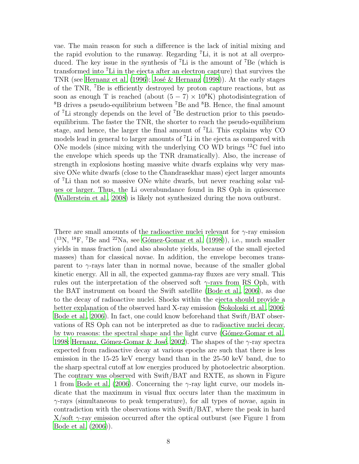vae. The main reason for such a difference is the lack of initial mixing and the rapid evolution to the runaway. Regarding <sup>7</sup>Li, it is not at all overproduced. The key issue in the synthesis of  ${}^{7}$ Li is the amount of  ${}^{7}$ Be (which is transformed into <sup>7</sup>Li in the ejecta after an electron capture) that survives the TNR (see [Hernanz et al. \(1996](#page-9-23)); José & Hernanz (1998)). At the early stages of the TNR, <sup>7</sup>Be is efficiently destroyed by proton capture reactions, but as soon as enough T is reached (about  $(5 - 7) \times 10^8$ K) photodisintegration of  ${}^{8}B$  drives a pseudo-equilibrium between <sup>7</sup>Be and  ${}^{8}B$ . Hence, the final amount of <sup>7</sup>Li strongly depends on the level of <sup>7</sup>Be destruction prior to this pseudoequilibrium. The faster the TNR, the shorter to reach the pseudo-equilibrium stage, and hence, the larger the final amount of  $\mathrm{^{7}Li}$ . This explains why CO models lead in general to larger amounts of <sup>7</sup>Li in the ejecta as compared with ONe models (since mixing with the underlying CO WD brings  $^{12}$ C fuel into the envelope which speeds up the TNR dramatically). Also, the increase of strength in explosions hosting massive white dwarfs explains why very massive ONe white dwarfs (close to the Chandrasekhar mass) eject larger amounts of <sup>7</sup>Li than not so massive ONe white dwarfs, but never reaching solar values or larger. Thus, the Li overabundance found in RS Oph in quiescence [\(Wallerstein et al., 2008](#page-9-15)) is likely not synthesized during the nova outburst.

There are small amounts of the radioactive nuclei relevant for  $\gamma$ -ray emission  $(13N, 18F, 7Be$  and  $22Na$ , see Gómez-Gomar et al.  $(1998)$ ), i.e., much smaller yields in mass fraction (and also absolute yields, because of the small ejected masses) than for classical novae. In addition, the envelope becomes transparent to  $\gamma$ -rays later than in normal novae, because of the smaller global kinetic energy. All in all, the expected gamma-ray fluxes are very small. This rules out the interpretation of the observed soft  $\gamma$ -rays from RS Oph, with the BAT instrument on board the Swift satellite [\(Bode et al.,](#page-9-8) [2006\)](#page-9-8), as due to the decay of radioactive nuclei. Shocks within the ejecta should provide a better explanation of the observed hard X-ray emission [\(Sokoloski et al.](#page-9-7), [2006](#page-9-7); [Bode et al., 2006](#page-9-8)). In fact, one could know beforehand that Swift/BAT observations of RS Oph can not be interpreted as due to radioactive nuclei decay, by two reasons: the spectral shape and the light curve (Gómez-Gomar et al., [1998](#page-9-24); Hernanz, Gómez-Gomar & José, 2002). The shapes of the  $\gamma$ -ray spectra expected from radioactive decay at various epochs are such that there is less emission in the 15-25 keV energy band than in the 25-50 keV band, due to the sharp spectral cutoff at low energies produced by photoelectric absorption. The contrary was observed with Swift/BAT and RXTE, as shown in Figure 1 from [Bode et al. \(2006\)](#page-9-8). Concerning the γ-ray light curve, our models indicate that the maximum in visual flux occurs later than the maximum in  $\gamma$ -rays (simultaneous to peak temperature), for all types of novae, again in contradiction with the observations with Swift/BAT, where the peak in hard  $X/\text{soft }\gamma\text{-ray emission occurred after the optical outburst (see Figure 1 from }$ [Bode et al. \(2006\)](#page-9-8)).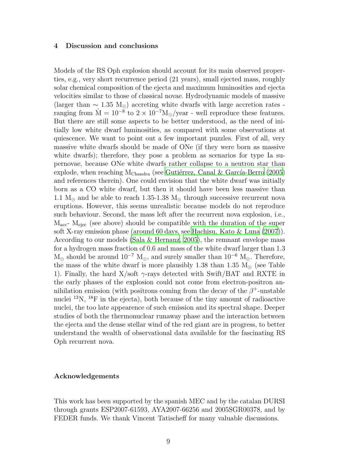#### 4 Discussion and conclusions

Models of the RS Oph explosion should account for its main observed properties, e.g., very short recurrence period (21 years), small ejected mass, roughly solar chemical composition of the ejecta and maximum luminosities and ejecta velocities similar to those of classical novae. Hydrodynamic models of massive (larger than  $\sim 1.35 \text{ M}_{\odot}$ ) accreting white dwarfs with large accretion rates ranging from  $\dot{M} = 10^{-8}$  to  $2 \times 10^{-7} M_{\odot}/year$  - well reproduce these features. But there are still some aspects to be better understood, as the need of initially low white dwarf luminosities, as compared with some observations at quiescence. We want to point out a few important puzzles. First of all, very massive white dwarfs should be made of ONe (if they were born as massive white dwarfs); therefore, they pose a problem as scenarios for type Ia supernovae, because ONe white dwarfs rather collapse to a neutron star than explode, when reaching  $M_{Chandra}$  (see Gutiérrez, Canal & García-Berro [\(2005\)](#page-9-26) and references therein). One could envision that the white dwarf was initially born as a CO white dwarf, but then it should have been less massive than 1.1  $M_{\odot}$  and be able to reach 1.35-1.38  $M_{\odot}$  through successive recurrent nova eruptions. However, this seems unrealistic because models do not reproduce such behaviour. Second, the mass left after the recurrent nova explosion, i.e.,  $M_{\text{acc}}$ -  $M_{\text{elec}}$  (see above) should be compatible with the duration of the super soft X-ray emission phase (around 60 days, see [Hachisu, Kato](#page-9-14) & Luna [\(2007](#page-9-14))). According to our models [\(Sala & Hernanz](#page-9-27), [2005\)](#page-9-27), the remnant envelope mass for a hydrogen mass fraction of 0.6 and mass of the white dwarf larger than 1.3  $M_{\odot}$  should be around  $10^{-7}$   $M_{\odot}$ , and surely smaller than  $10^{-6}$   $M_{\odot}$ . Therefore, the mass of the white dwarf is more plausibly 1.38 than 1.35  $M_{\odot}$  (see Table 1). Finally, the hard  $X/\text{soft} \gamma$ -rays detected with Swift/BAT and RXTE in the early phases of the explosion could not come from electron-positron annihilation emission (with positrons coming from the decay of the  $\beta^+$ -unstable nuclei  $^{13}N$ ,  $^{18}F$  in the ejecta), both because of the tiny amount of radioactive nuclei, the too late appearence of such emission and its spectral shape. Deeper studies of both the thermonuclear runaway phase and the interaction between the ejecta and the dense stellar wind of the red giant are in progress, to better understand the wealth of observational data available for the fascinating RS Oph recurrent nova.

#### Acknowledgements

This work has been supported by the spanish MEC and by the catalan DURSI through grants ESP2007-61593, AYA2007-66256 and 2005SGR00378, and by FEDER funds. We thank Vincent Tatischeff for many valuable discussions.